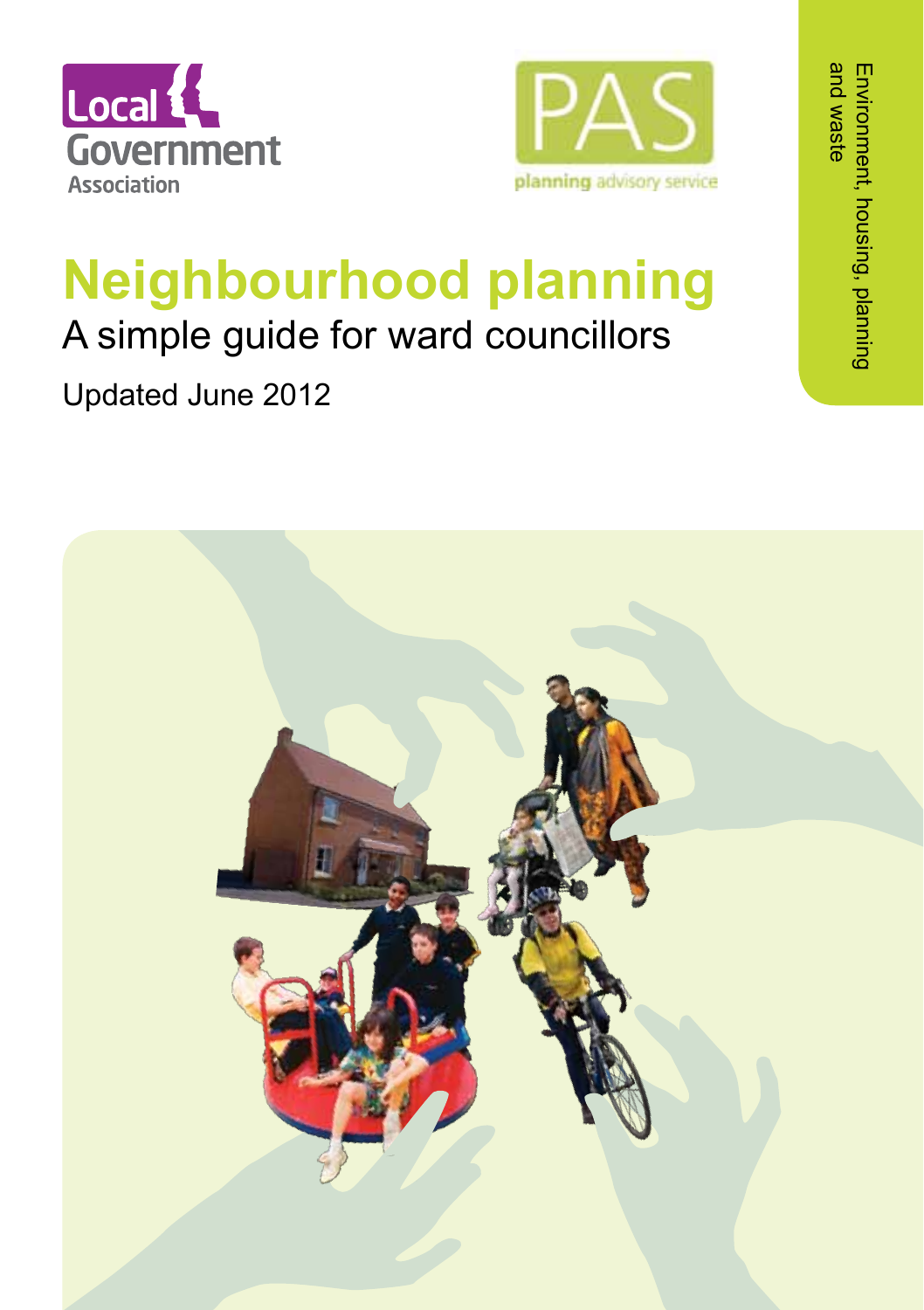



# **Neighbourhood planning**

## A simple guide for ward councillors

Updated June 2012

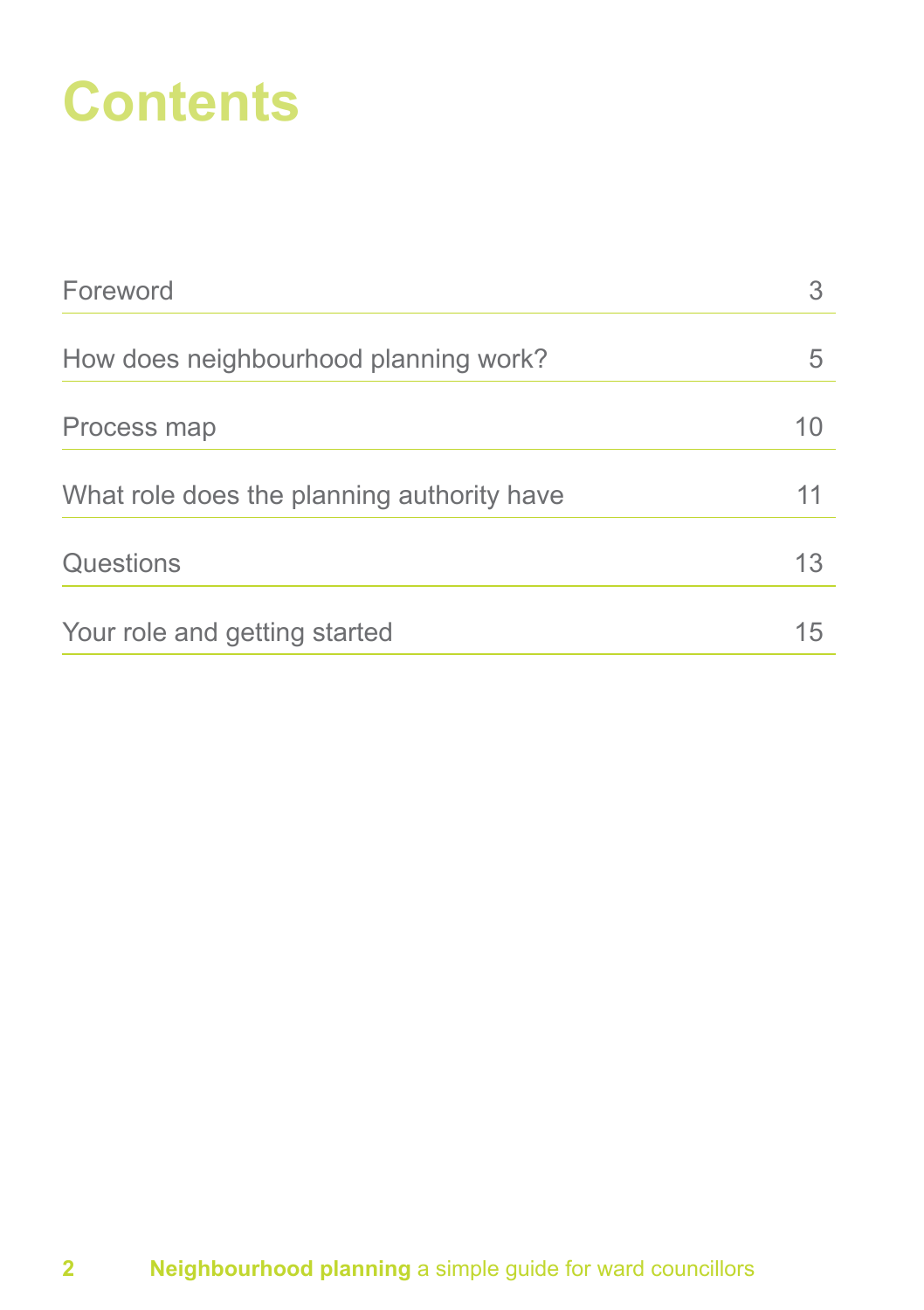## **Contents**

| Foreword                                   |    |
|--------------------------------------------|----|
| How does neighbourhood planning work?      | 5  |
| Process map                                | 10 |
| What role does the planning authority have | 11 |
| Questions                                  | 13 |
| Your role and getting started              | 15 |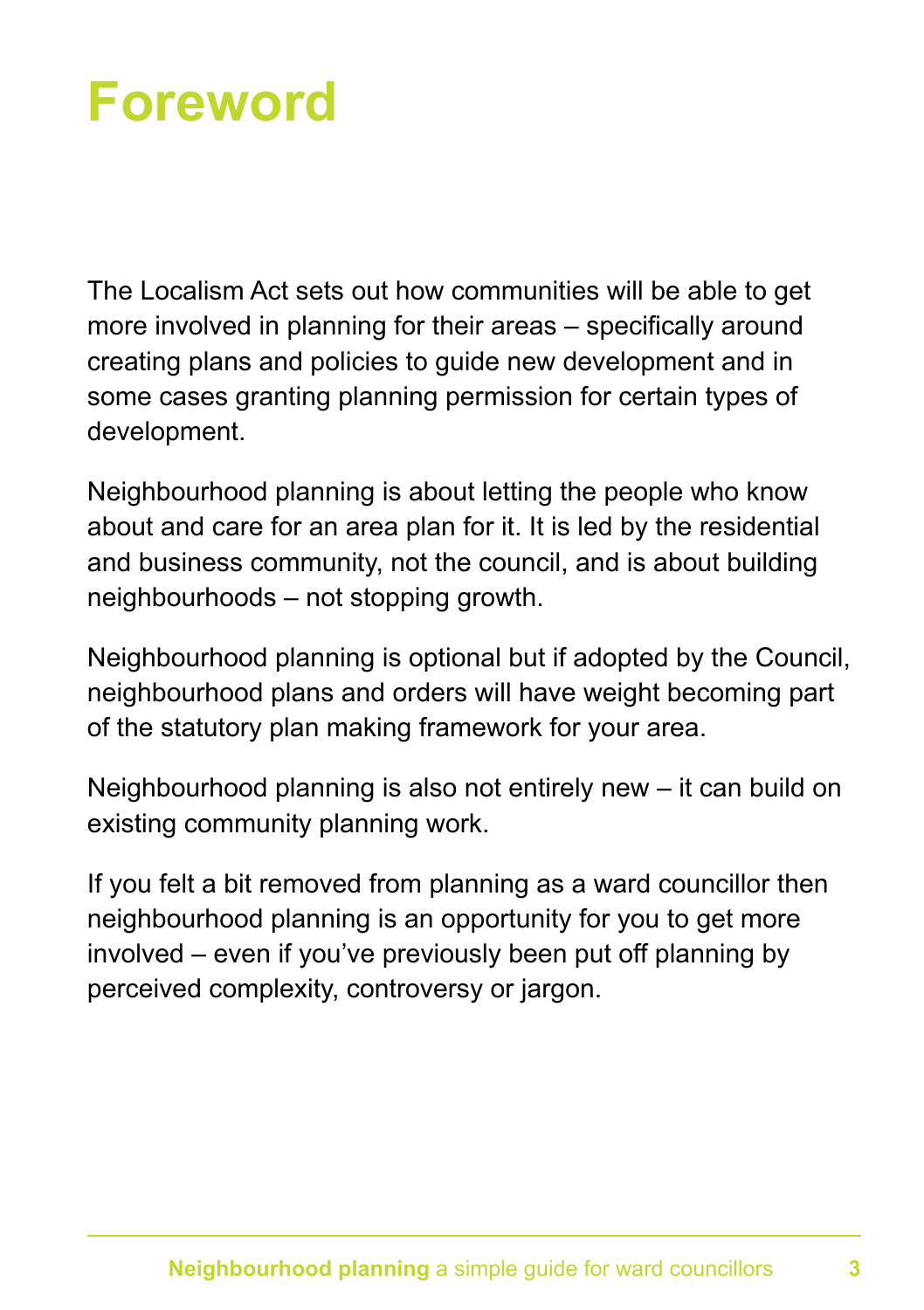## **Foreword**

The Localism Act sets out how communities will be able to get more involved in planning for their areas – specifically around creating plans and policies to guide new development and in some cases granting planning permission for certain types of development.

Neighbourhood planning is about letting the people who know about and care for an area plan for it. It is led by the residential and business community, not the council, and is about building neighbourhoods – not stopping growth.

Neighbourhood planning is optional but if adopted by the Council, neighbourhood plans and orders will have weight becoming part of the statutory plan making framework for your area.

Neighbourhood planning is also not entirely new – it can build on existing community planning work.

If you felt a bit removed from planning as a ward councillor then neighbourhood planning is an opportunity for you to get more involved – even if you've previously been put off planning by perceived complexity, controversy or jargon.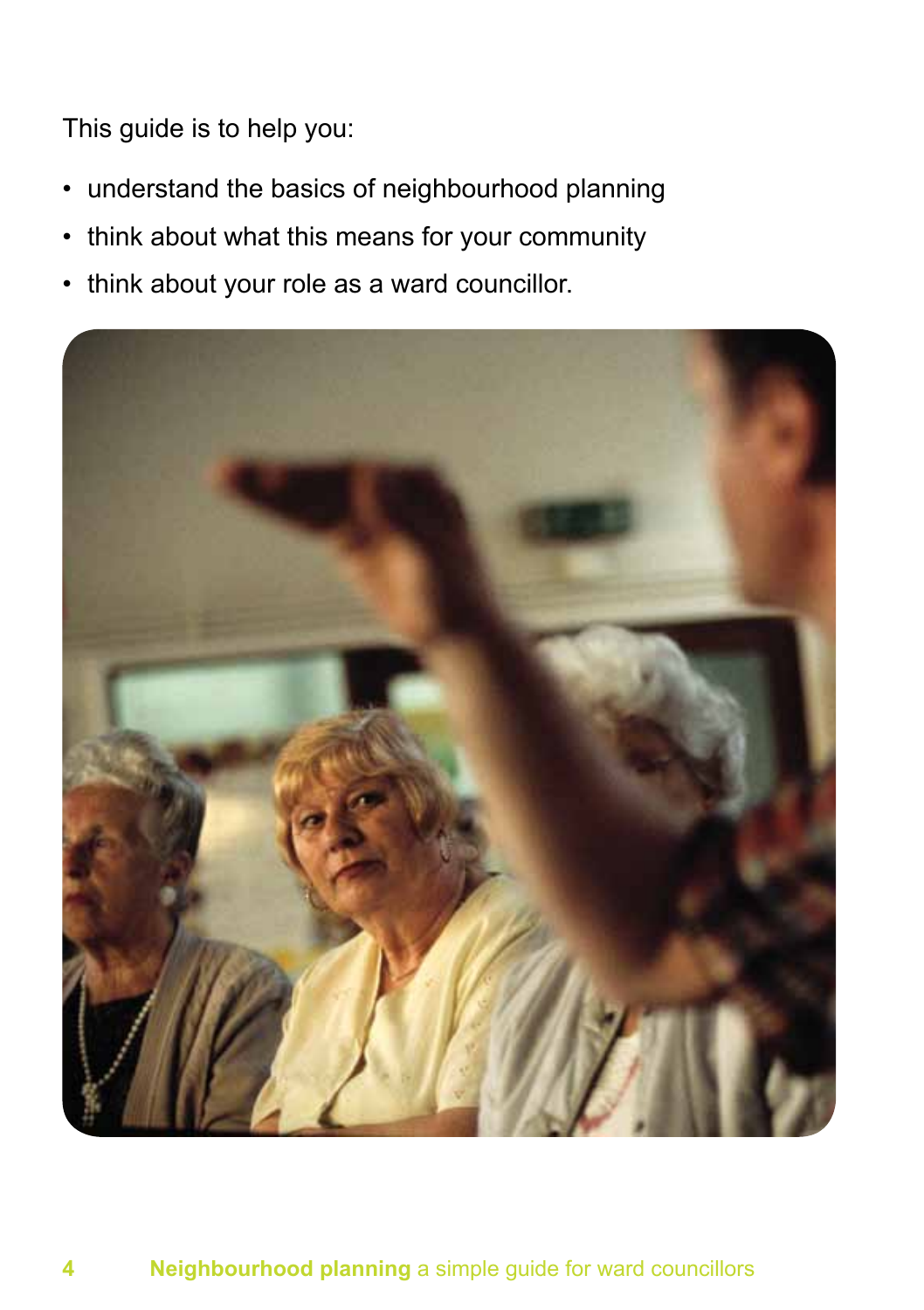This guide is to help you:

- understand the basics of neighbourhood planning
- think about what this means for your community
- think about your role as a ward councillor.

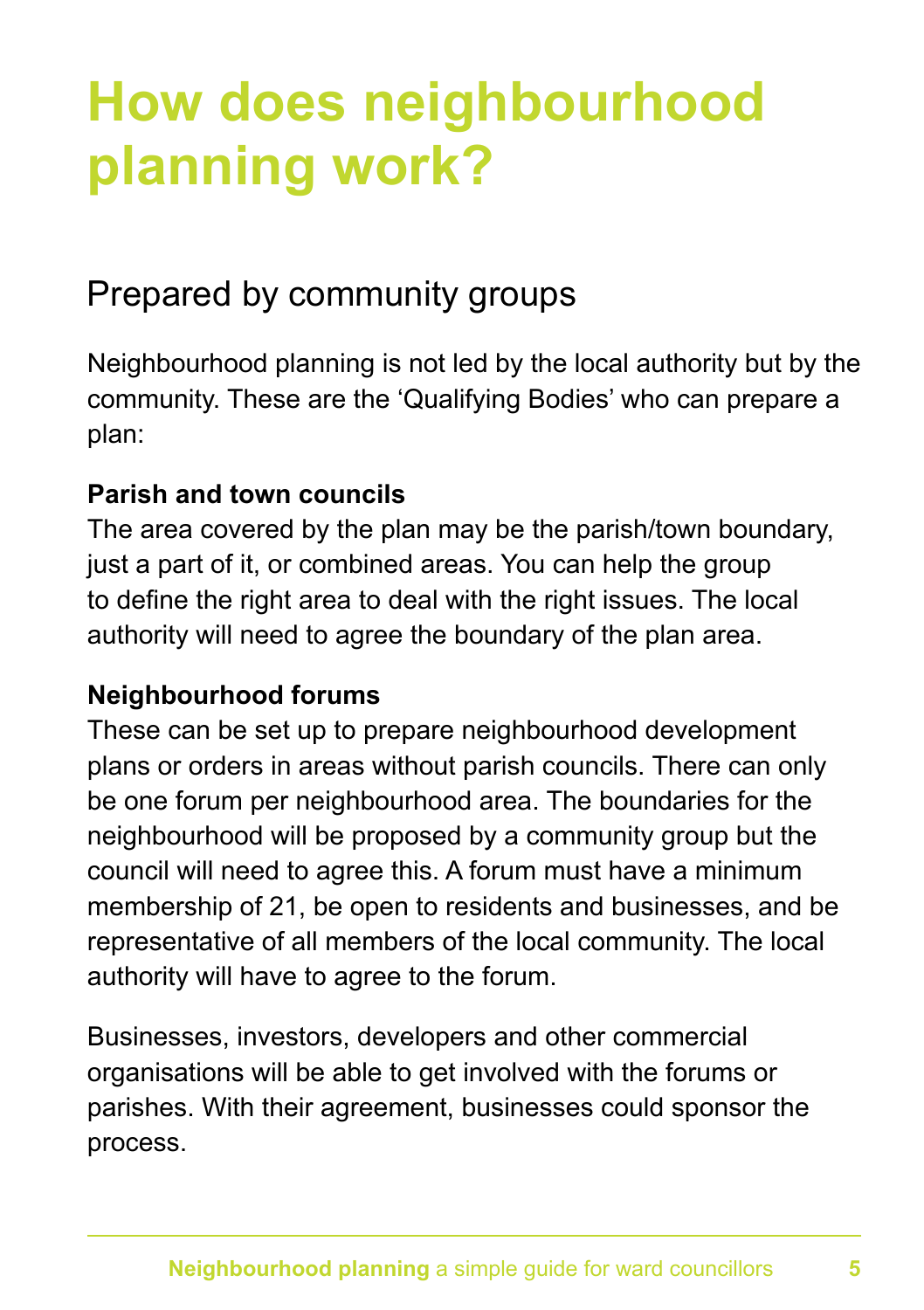## **How does neighbourhood planning work?**

### Prepared by community groups

Neighbourhood planning is not led by the local authority but by the community. These are the 'Qualifying Bodies' who can prepare a plan:

#### **Parish and town councils**

The area covered by the plan may be the parish/town boundary, just a part of it, or combined areas. You can help the group to define the right area to deal with the right issues. The local authority will need to agree the boundary of the plan area.

#### **Neighbourhood forums**

These can be set up to prepare neighbourhood development plans or orders in areas without parish councils. There can only be one forum per neighbourhood area. The boundaries for the neighbourhood will be proposed by a community group but the council will need to agree this. A forum must have a minimum membership of 21, be open to residents and businesses, and be representative of all members of the local community. The local authority will have to agree to the forum.

Businesses, investors, developers and other commercial organisations will be able to get involved with the forums or parishes. With their agreement, businesses could sponsor the process.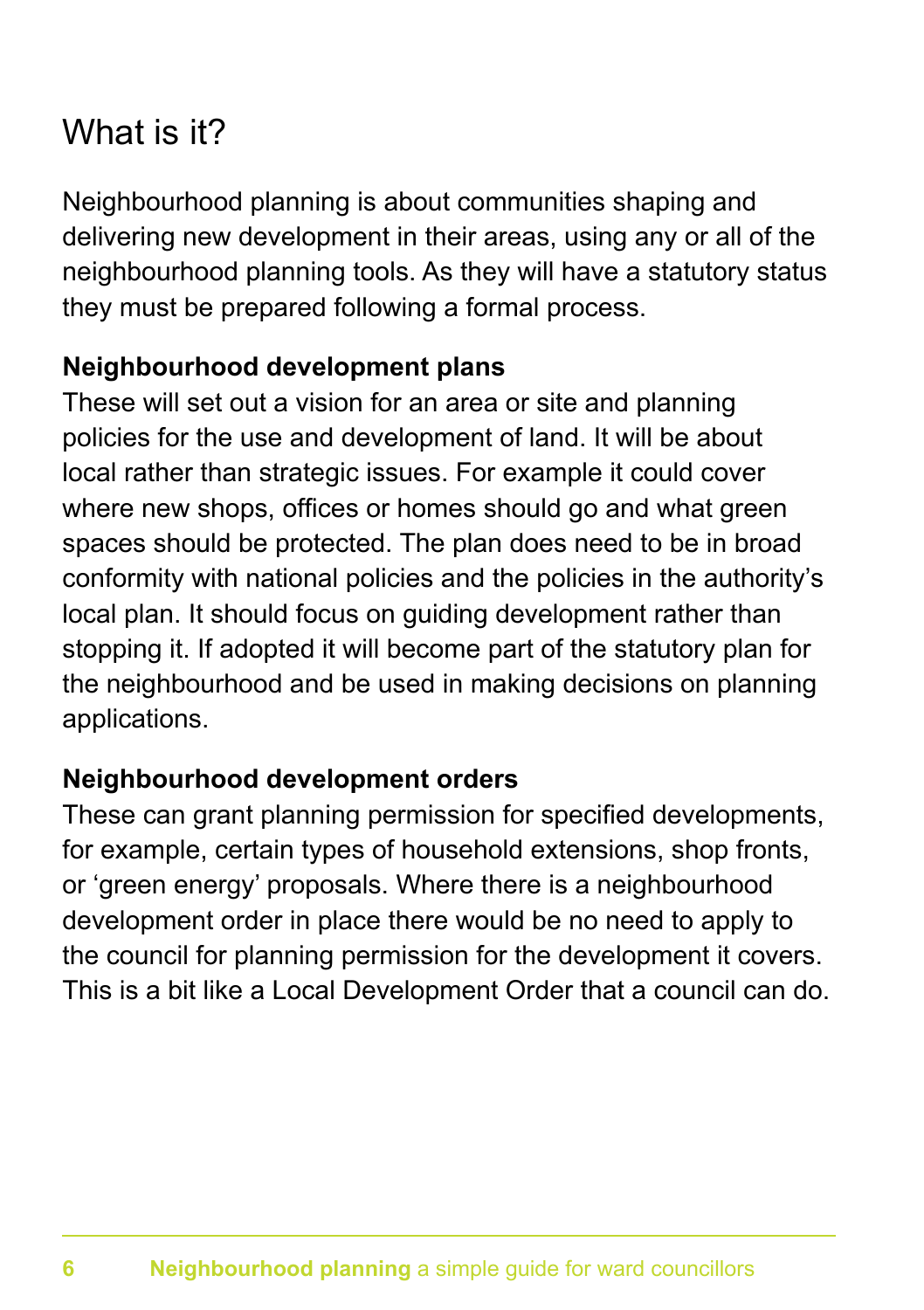### What is it?

Neighbourhood planning is about communities shaping and delivering new development in their areas, using any or all of the neighbourhood planning tools. As they will have a statutory status they must be prepared following a formal process.

### **Neighbourhood development plans**

These will set out a vision for an area or site and planning policies for the use and development of land. It will be about local rather than strategic issues. For example it could cover where new shops, offices or homes should go and what green spaces should be protected. The plan does need to be in broad conformity with national policies and the policies in the authority's local plan. It should focus on guiding development rather than stopping it. If adopted it will become part of the statutory plan for the neighbourhood and be used in making decisions on planning applications.

### **Neighbourhood development orders**

These can grant planning permission for specified developments, for example, certain types of household extensions, shop fronts, or 'green energy' proposals. Where there is a neighbourhood development order in place there would be no need to apply to the council for planning permission for the development it covers. This is a bit like a Local Development Order that a council can do.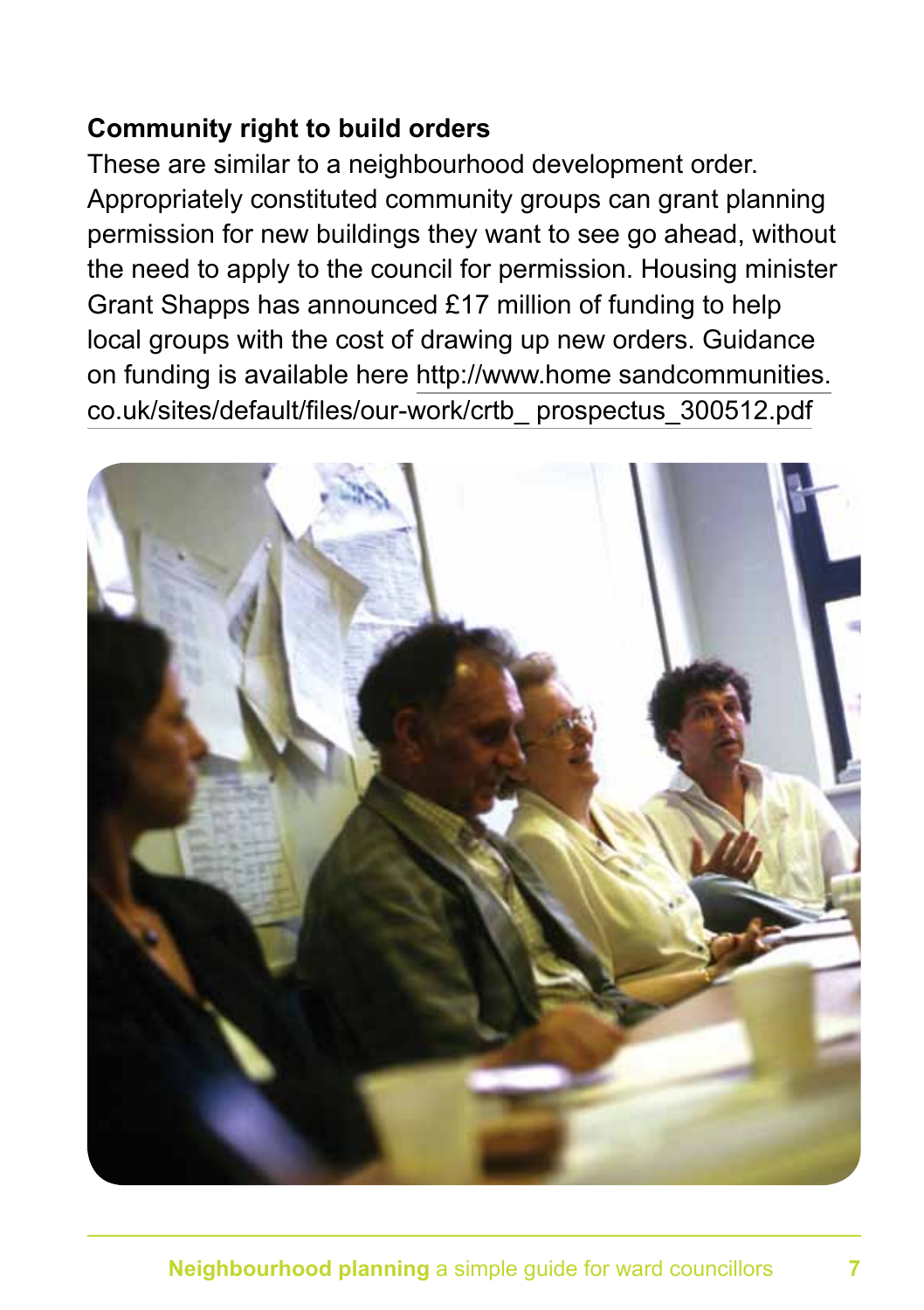### **Community right to build orders**

These are similar to a neighbourhood development order. Appropriately constituted community groups can grant planning permission for new buildings they want to see go ahead, without the need to apply to the council for permission. Housing minister Grant Shapps has announced £17 million of funding to help local groups with the cost of drawing up new orders. Guidance on funding is available here http://www.home sandcommunities. co.uk/sites/default/files/our-work/crtb\_ prospectus\_300512.pdf

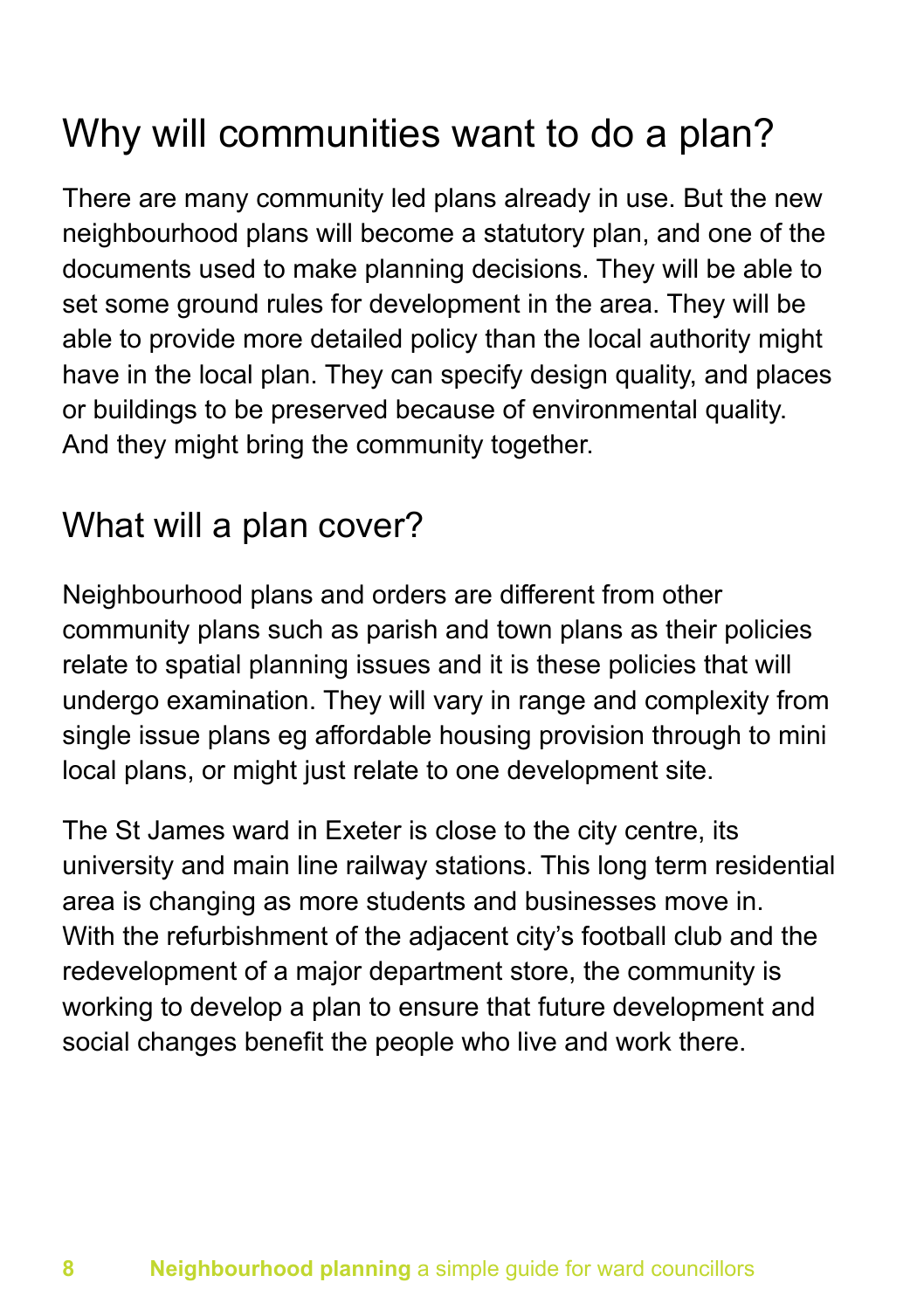### Why will communities want to do a plan?

There are many community led plans already in use. But the new neighbourhood plans will become a statutory plan, and one of the documents used to make planning decisions. They will be able to set some ground rules for development in the area. They will be able to provide more detailed policy than the local authority might have in the local plan. They can specify design quality, and places or buildings to be preserved because of environmental quality. And they might bring the community together.

### What will a plan cover?

Neighbourhood plans and orders are different from other community plans such as parish and town plans as their policies relate to spatial planning issues and it is these policies that will undergo examination. They will vary in range and complexity from single issue plans eg affordable housing provision through to mini local plans, or might just relate to one development site.

The St James ward in Exeter is close to the city centre, its university and main line railway stations. This long term residential area is changing as more students and businesses move in. With the refurbishment of the adjacent city's football club and the redevelopment of a major department store, the community is working to develop a plan to ensure that future development and social changes benefit the people who live and work there.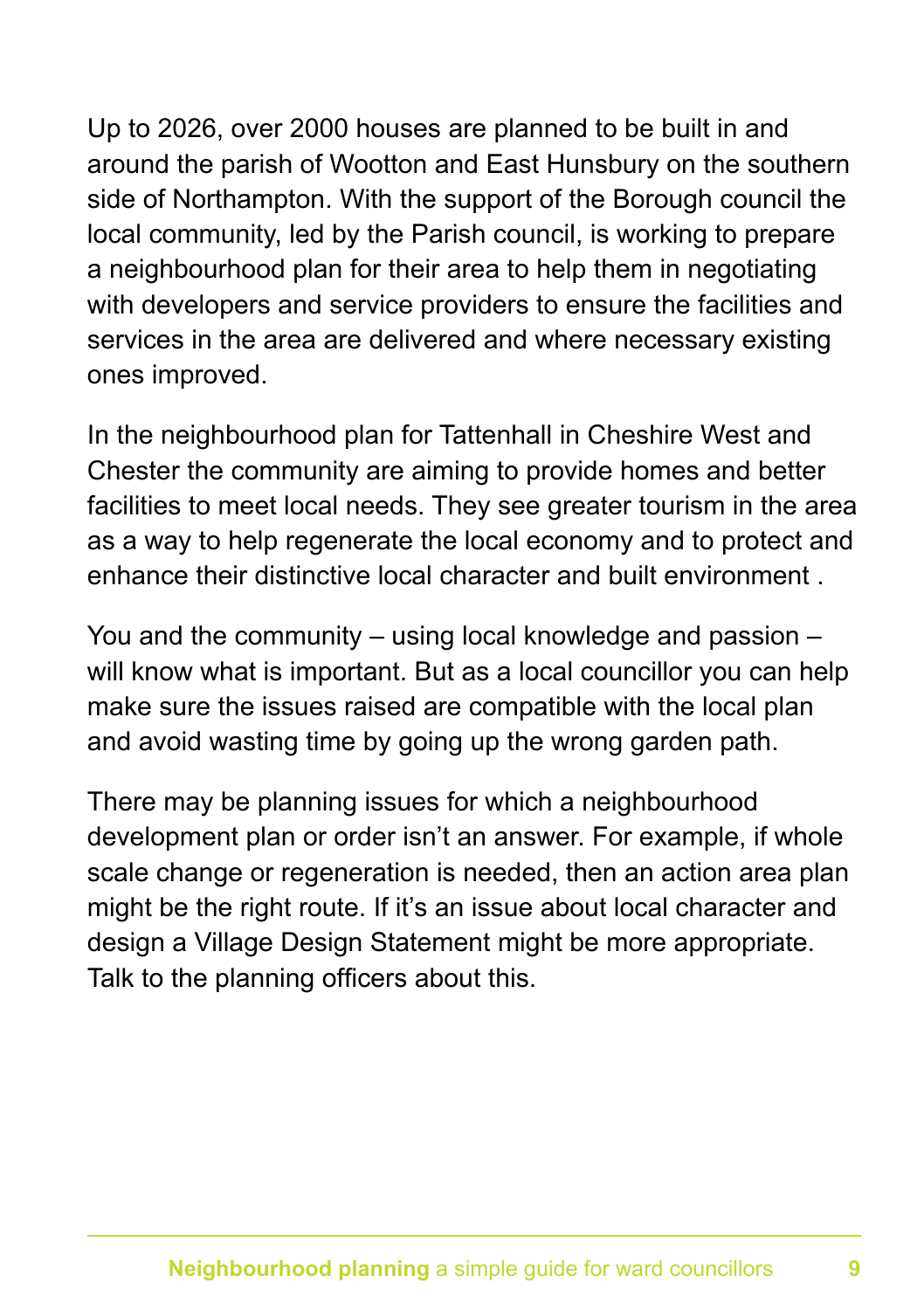Up to 2026, over 2000 houses are planned to be built in and around the parish of Wootton and East Hunsbury on the southern side of Northampton. With the support of the Borough council the local community, led by the Parish council, is working to prepare a neighbourhood plan for their area to help them in negotiating with developers and service providers to ensure the facilities and services in the area are delivered and where necessary existing ones improved.

In the neighbourhood plan for Tattenhall in Cheshire West and Chester the community are aiming to provide homes and better facilities to meet local needs. They see greater tourism in the area as a way to help regenerate the local economy and to protect and enhance their distinctive local character and built environment .

You and the community – using local knowledge and passion – will know what is important. But as a local councillor you can help make sure the issues raised are compatible with the local plan and avoid wasting time by going up the wrong garden path.

There may be planning issues for which a neighbourhood development plan or order isn't an answer. For example, if whole scale change or regeneration is needed, then an action area plan might be the right route. If it's an issue about local character and design a Village Design Statement might be more appropriate. Talk to the planning officers about this.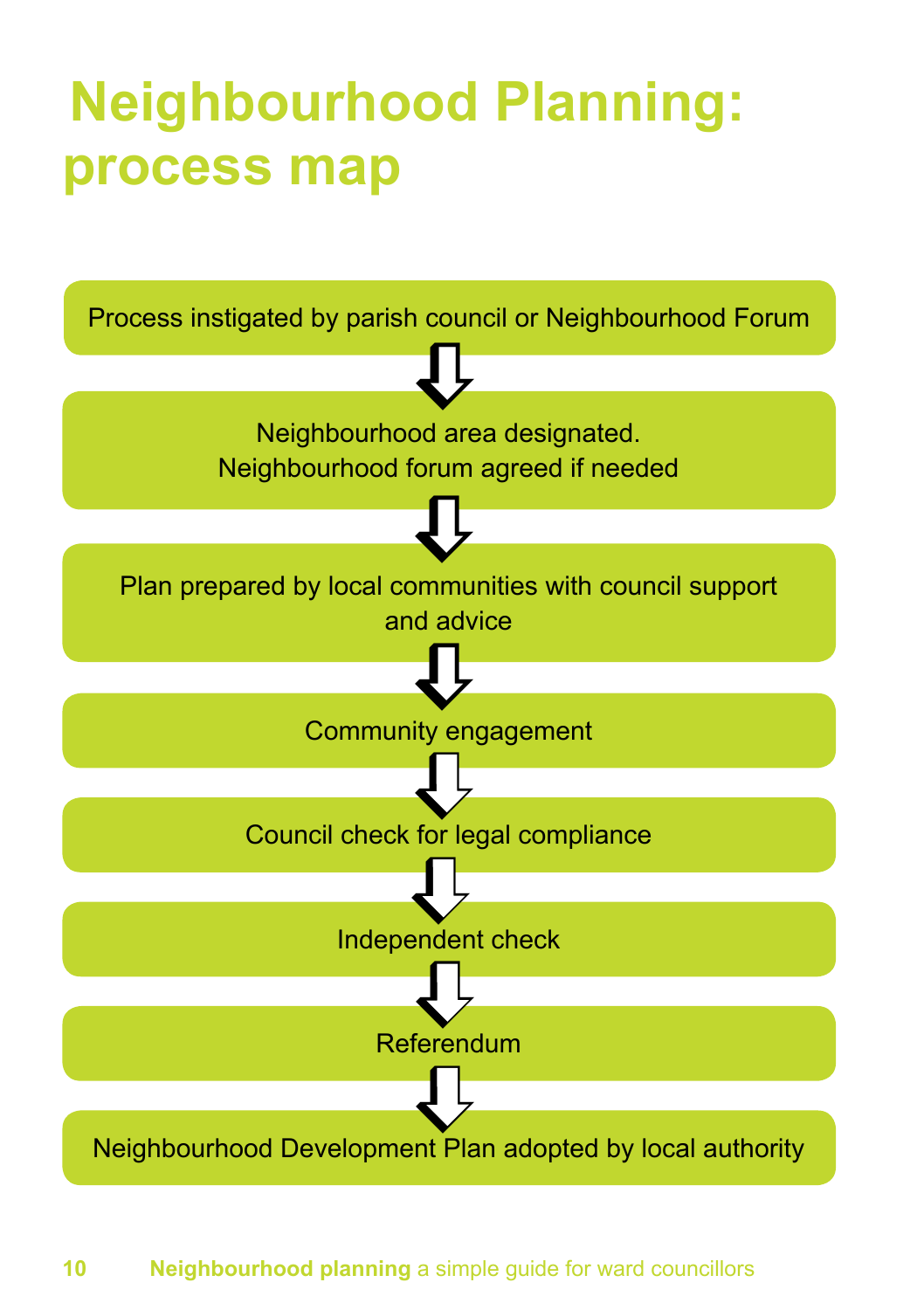## **Neighbourhood Planning: process map**



#### **10 Neighbourhood planning** a simple guide for ward councillors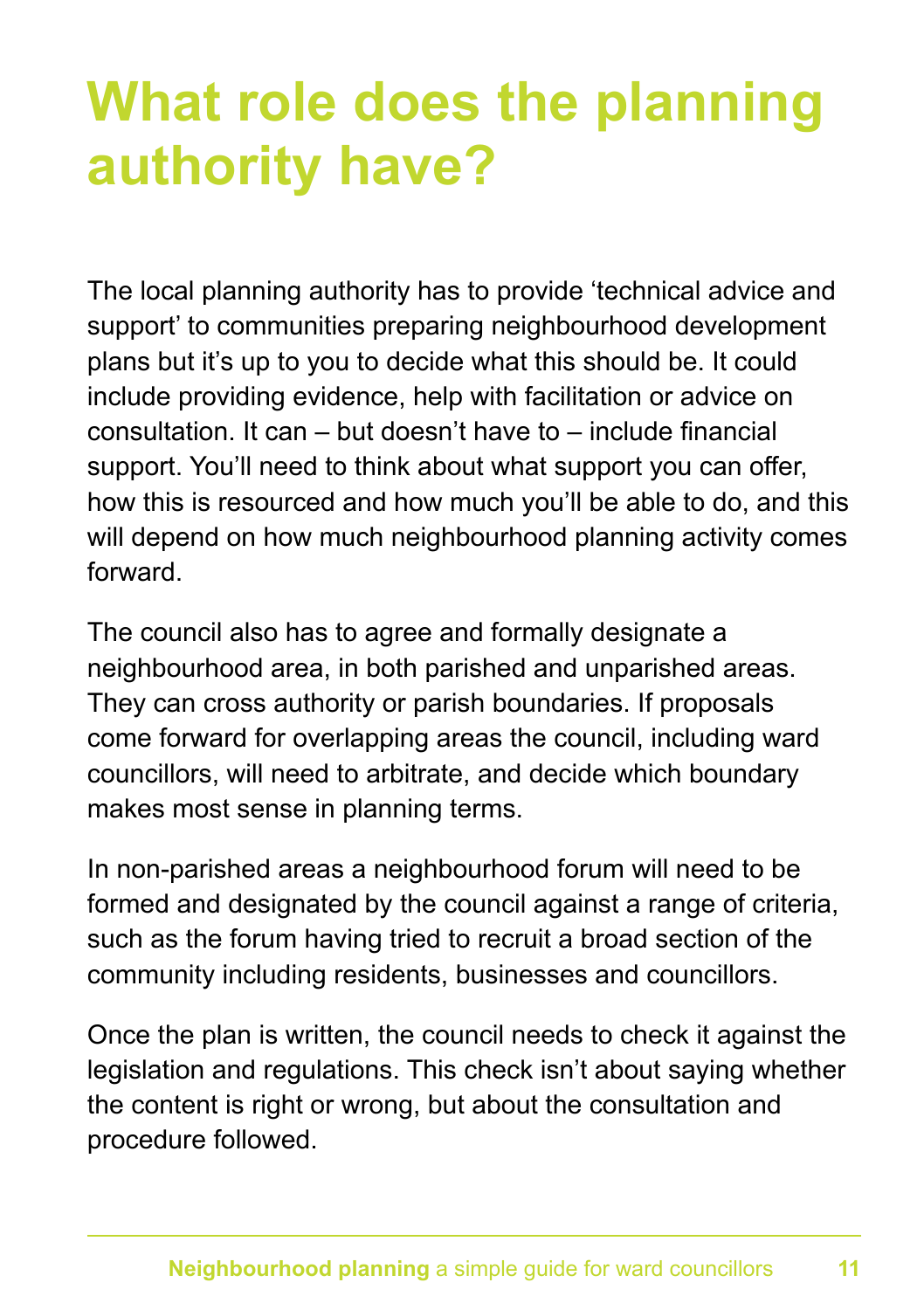## **What role does the planning authority have?**

The local planning authority has to provide 'technical advice and support' to communities preparing neighbourhood development plans but it's up to you to decide what this should be. It could include providing evidence, help with facilitation or advice on consultation. It can – but doesn't have to – include financial support. You'll need to think about what support you can offer, how this is resourced and how much you'll be able to do, and this will depend on how much neighbourhood planning activity comes forward.

The council also has to agree and formally designate a neighbourhood area, in both parished and unparished areas. They can cross authority or parish boundaries. If proposals come forward for overlapping areas the council, including ward councillors, will need to arbitrate, and decide which boundary makes most sense in planning terms.

In non-parished areas a neighbourhood forum will need to be formed and designated by the council against a range of criteria, such as the forum having tried to recruit a broad section of the community including residents, businesses and councillors.

Once the plan is written, the council needs to check it against the legislation and regulations. This check isn't about saying whether the content is right or wrong, but about the consultation and procedure followed.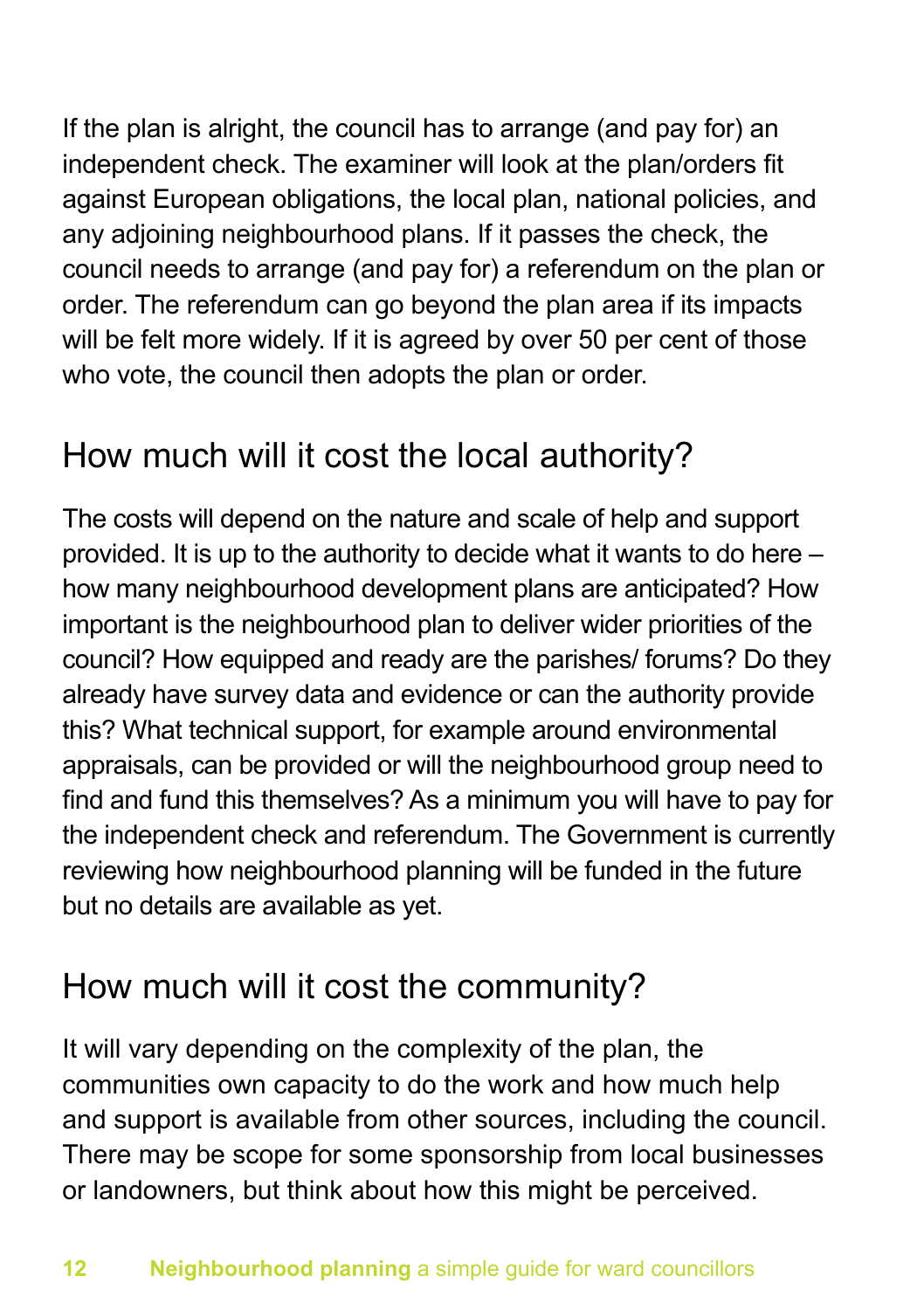If the plan is alright, the council has to arrange (and pay for) an independent check. The examiner will look at the plan/orders fit against European obligations, the local plan, national policies, and any adjoining neighbourhood plans. If it passes the check, the council needs to arrange (and pay for) a referendum on the plan or order. The referendum can go beyond the plan area if its impacts will be felt more widely. If it is agreed by over 50 per cent of those who vote, the council then adopts the plan or order.

### How much will it cost the local authority?

The costs will depend on the nature and scale of help and support provided. It is up to the authority to decide what it wants to do here – how many neighbourhood development plans are anticipated? How important is the neighbourhood plan to deliver wider priorities of the council? How equipped and ready are the parishes/ forums? Do they already have survey data and evidence or can the authority provide this? What technical support, for example around environmental appraisals, can be provided or will the neighbourhood group need to find and fund this themselves? As a minimum you will have to pay for the independent check and referendum. The Government is currently reviewing how neighbourhood planning will be funded in the future but no details are available as yet.

### How much will it cost the community?

It will vary depending on the complexity of the plan, the communities own capacity to do the work and how much help and support is available from other sources, including the council. There may be scope for some sponsorship from local businesses or landowners, but think about how this might be perceived.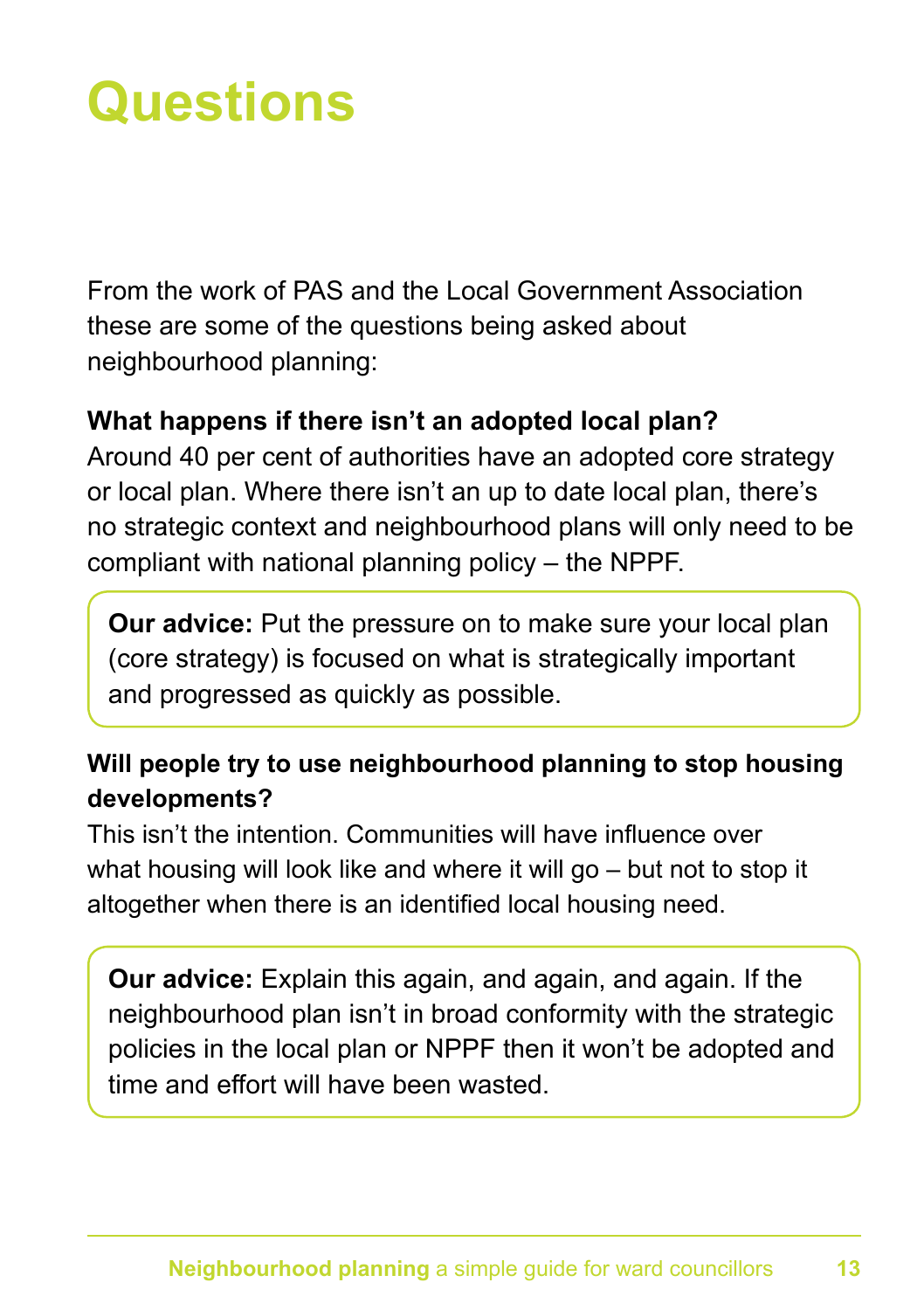## **Questions**

From the work of PAS and the Local Government Association these are some of the questions being asked about neighbourhood planning:

### **What happens if there isn't an adopted local plan?**

Around 40 per cent of authorities have an adopted core strategy or local plan. Where there isn't an up to date local plan, there's no strategic context and neighbourhood plans will only need to be compliant with national planning policy – the NPPF.

**Our advice:** Put the pressure on to make sure your local plan (core strategy) is focused on what is strategically important and progressed as quickly as possible.

### **Will people try to use neighbourhood planning to stop housing developments?**

This isn't the intention. Communities will have influence over what housing will look like and where it will go – but not to stop it altogether when there is an identified local housing need.

**Our advice:** Explain this again, and again, and again. If the neighbourhood plan isn't in broad conformity with the strategic policies in the local plan or NPPF then it won't be adopted and time and effort will have been wasted.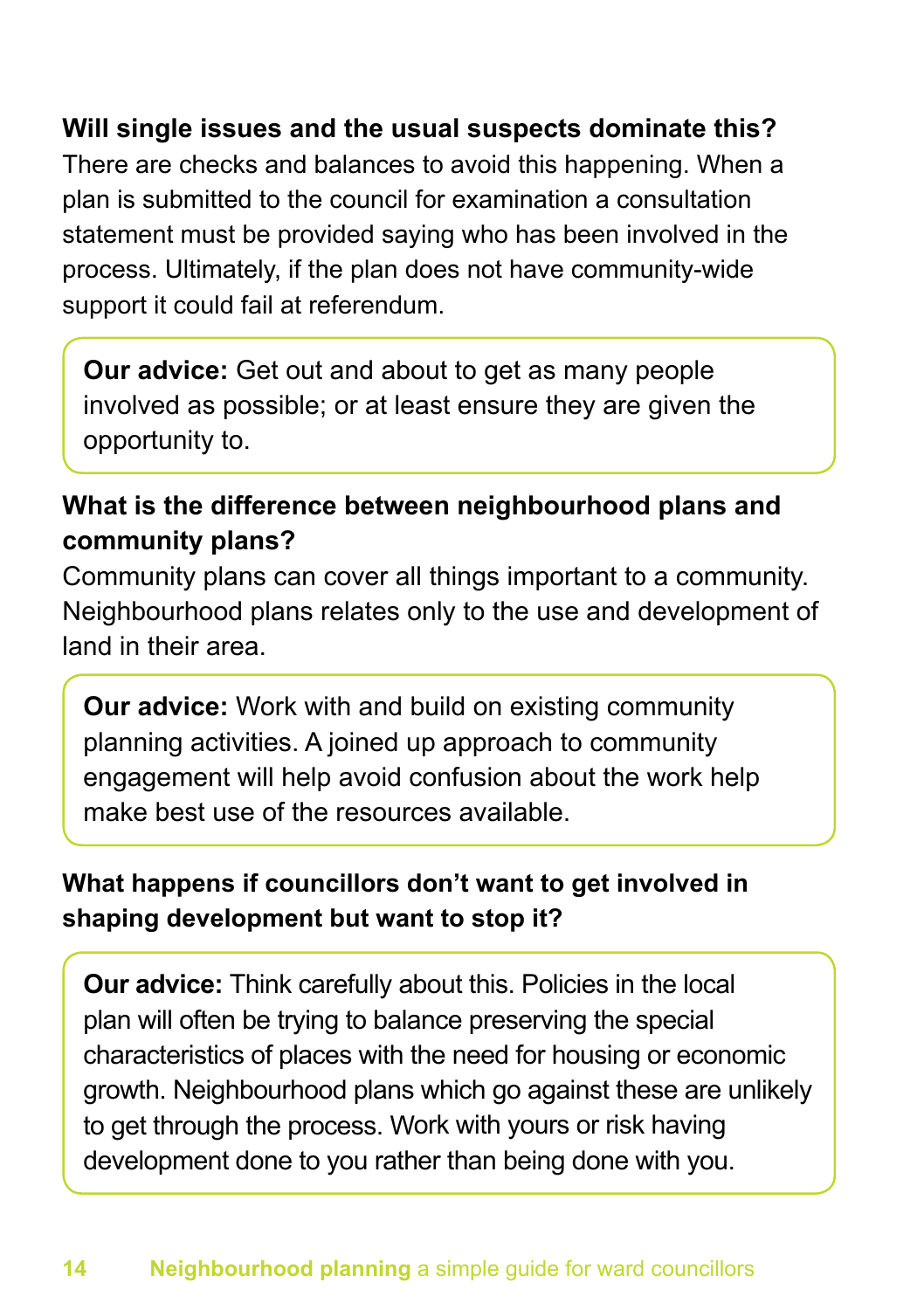### **Will single issues and the usual suspects dominate this?**

There are checks and balances to avoid this happening. When a plan is submitted to the council for examination a consultation statement must be provided saying who has been involved in the process. Ultimately, if the plan does not have community-wide support it could fail at referendum.

**Our advice:** Get out and about to get as many people involved as possible; or at least ensure they are given the opportunity to.

### **What is the difference between neighbourhood plans and community plans?**

Community plans can cover all things important to a community. Neighbourhood plans relates only to the use and development of land in their area.

**Our advice:** Work with and build on existing community planning activities. A joined up approach to community engagement will help avoid confusion about the work help make best use of the resources available.

### **What happens if councillors don't want to get involved in shaping development but want to stop it?**

**Our advice:** Think carefully about this. Policies in the local plan will often be trying to balance preserving the special characteristics of places with the need for housing or economic growth. Neighbourhood plans which go against these are unlikely to get through the process. Work with yours or risk having development done to you rather than being done with you.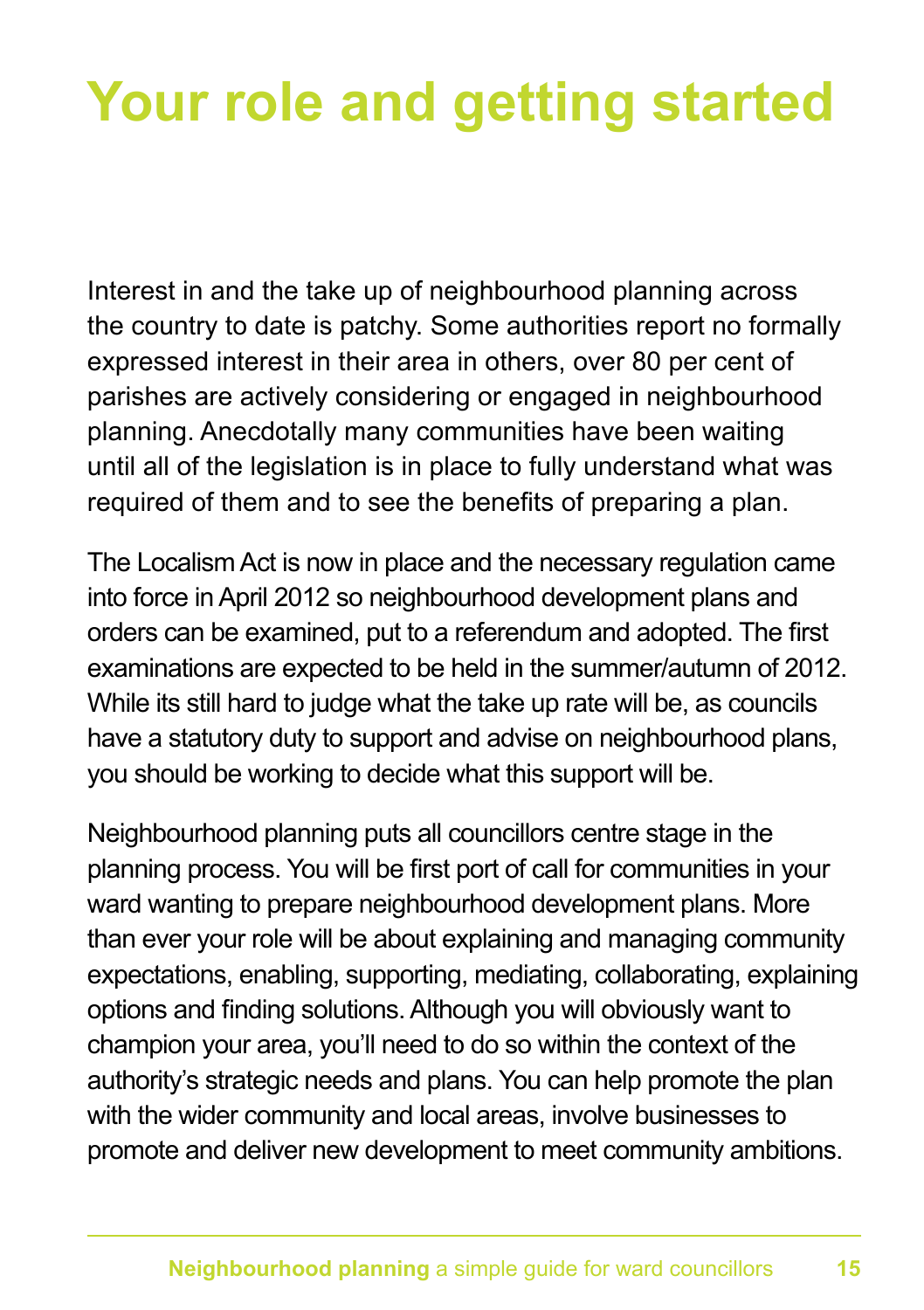## **Your role and getting started**

Interest in and the take up of neighbourhood planning across the country to date is patchy. Some authorities report no formally expressed interest in their area in others, over 80 per cent of parishes are actively considering or engaged in neighbourhood planning. Anecdotally many communities have been waiting until all of the legislation is in place to fully understand what was required of them and to see the benefits of preparing a plan.

The Localism Act is now in place and the necessary regulation came into force in April 2012 so neighbourhood development plans and orders can be examined, put to a referendum and adopted. The first examinations are expected to be held in the summer/autumn of 2012. While its still hard to judge what the take up rate will be, as councils have a statutory duty to support and advise on neighbourhood plans, you should be working to decide what this support will be.

Neighbourhood planning puts all councillors centre stage in the planning process. You will be first port of call for communities in your ward wanting to prepare neighbourhood development plans. More than ever your role will be about explaining and managing community expectations, enabling, supporting, mediating, collaborating, explaining options and finding solutions. Although you will obviously want to champion your area, you'll need to do so within the context of the authority's strategic needs and plans. You can help promote the plan with the wider community and local areas, involve businesses to promote and deliver new development to meet community ambitions.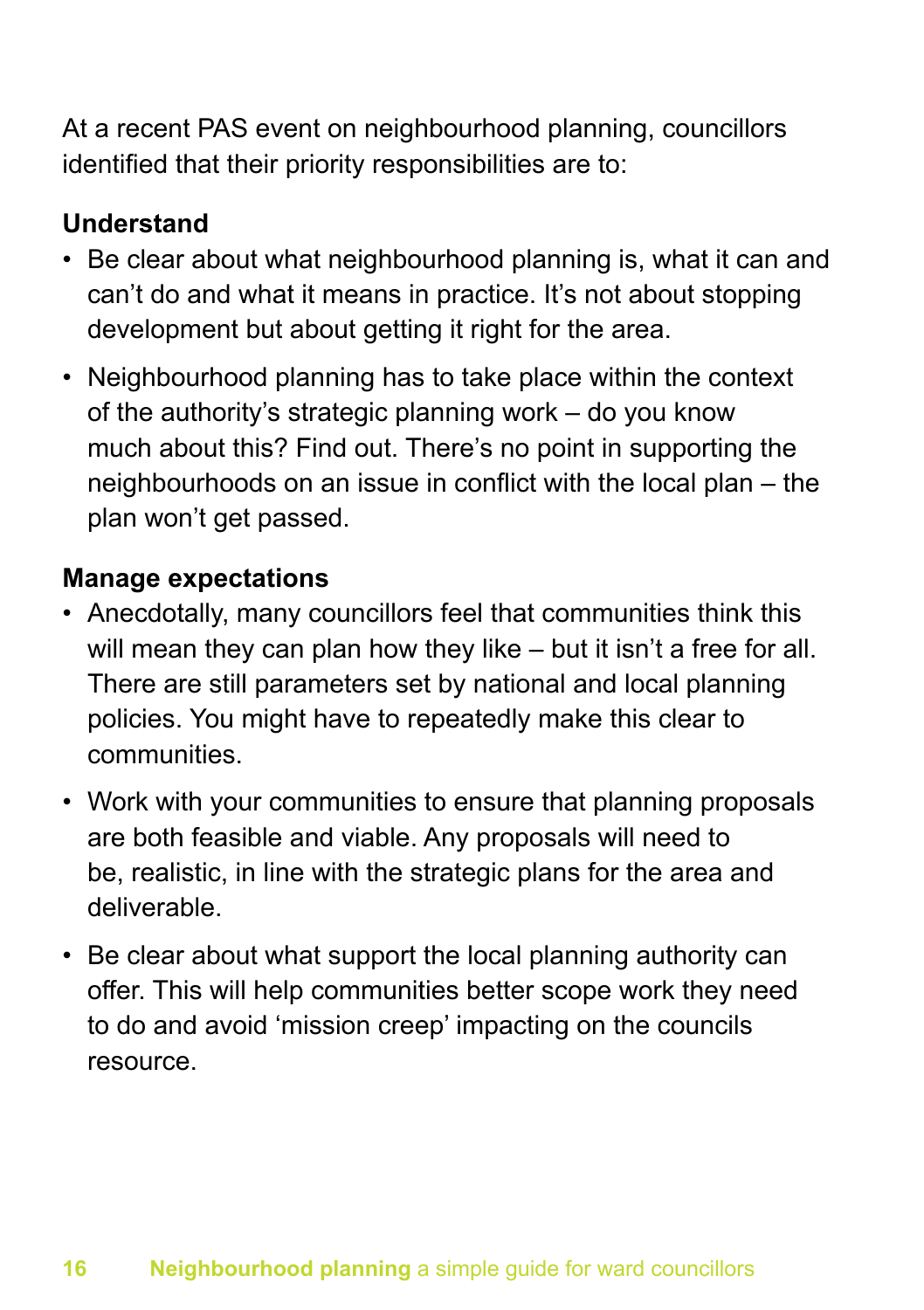At a recent PAS event on neighbourhood planning, councillors identified that their priority responsibilities are to:

### **Understand**

- Be clear about what neighbourhood planning is, what it can and can't do and what it means in practice. It's not about stopping development but about getting it right for the area.
- Neighbourhood planning has to take place within the context of the authority's strategic planning work – do you know much about this? Find out. There's no point in supporting the neighbourhoods on an issue in conflict with the local plan – the plan won't get passed.

### **Manage expectations**

- Anecdotally, many councillors feel that communities think this will mean they can plan how they like – but it isn't a free for all. There are still parameters set by national and local planning policies. You might have to repeatedly make this clear to communities.
- Work with your communities to ensure that planning proposals are both feasible and viable. Any proposals will need to be, realistic, in line with the strategic plans for the area and deliverable.
- Be clear about what support the local planning authority can offer. This will help communities better scope work they need to do and avoid 'mission creep' impacting on the councils resource.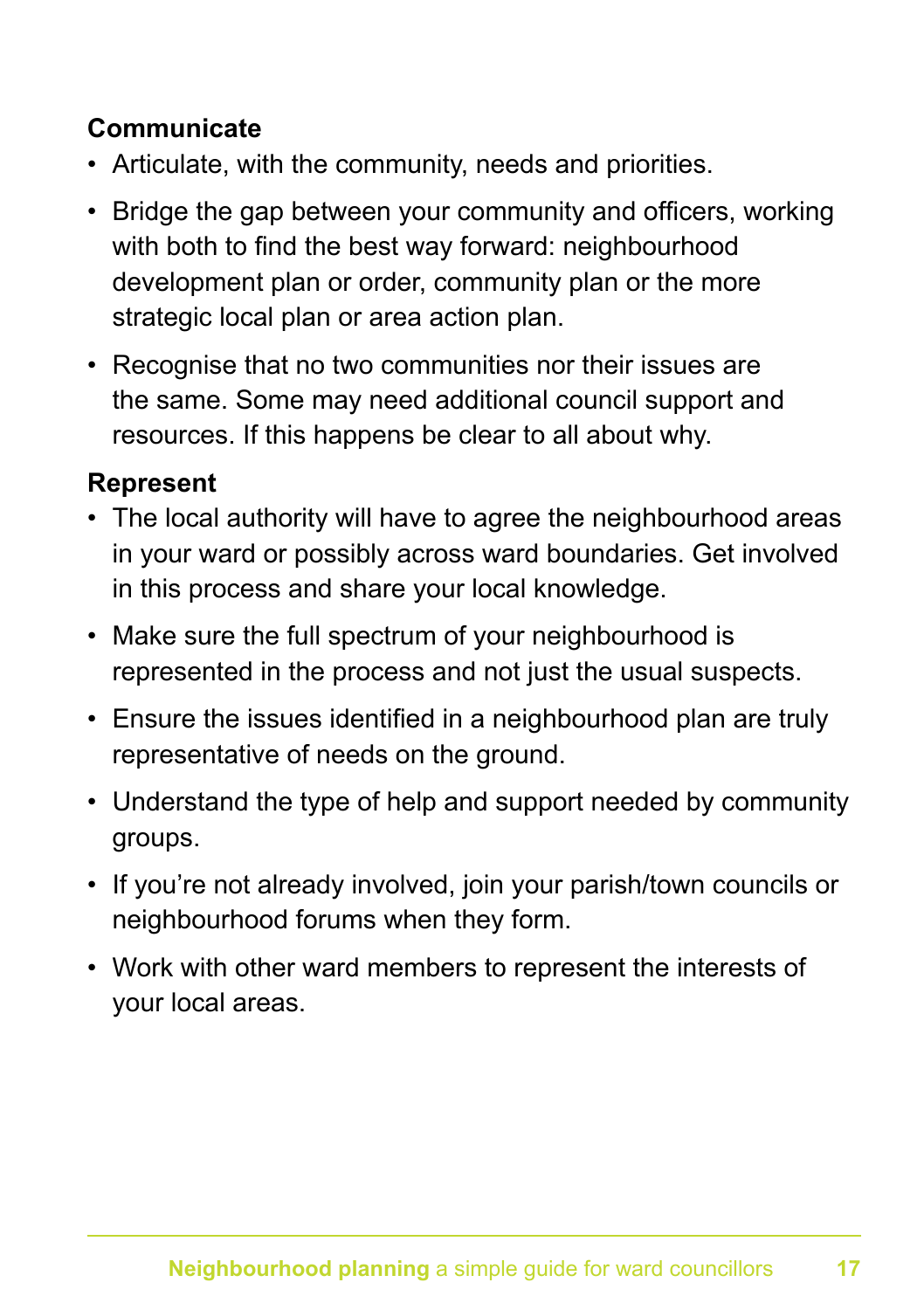### **Communicate**

- Articulate, with the community, needs and priorities.
- Bridge the gap between your community and officers, working with both to find the best way forward: neighbourhood development plan or order, community plan or the more strategic local plan or area action plan.
- Recognise that no two communities nor their issues are the same. Some may need additional council support and resources. If this happens be clear to all about why.

### **Represent**

- The local authority will have to agree the neighbourhood areas in your ward or possibly across ward boundaries. Get involved in this process and share your local knowledge.
- Make sure the full spectrum of your neighbourhood is represented in the process and not just the usual suspects.
- Ensure the issues identified in a neighbourhood plan are truly representative of needs on the ground.
- Understand the type of help and support needed by community groups.
- If you're not already involved, join your parish/town councils or neighbourhood forums when they form.
- Work with other ward members to represent the interests of your local areas.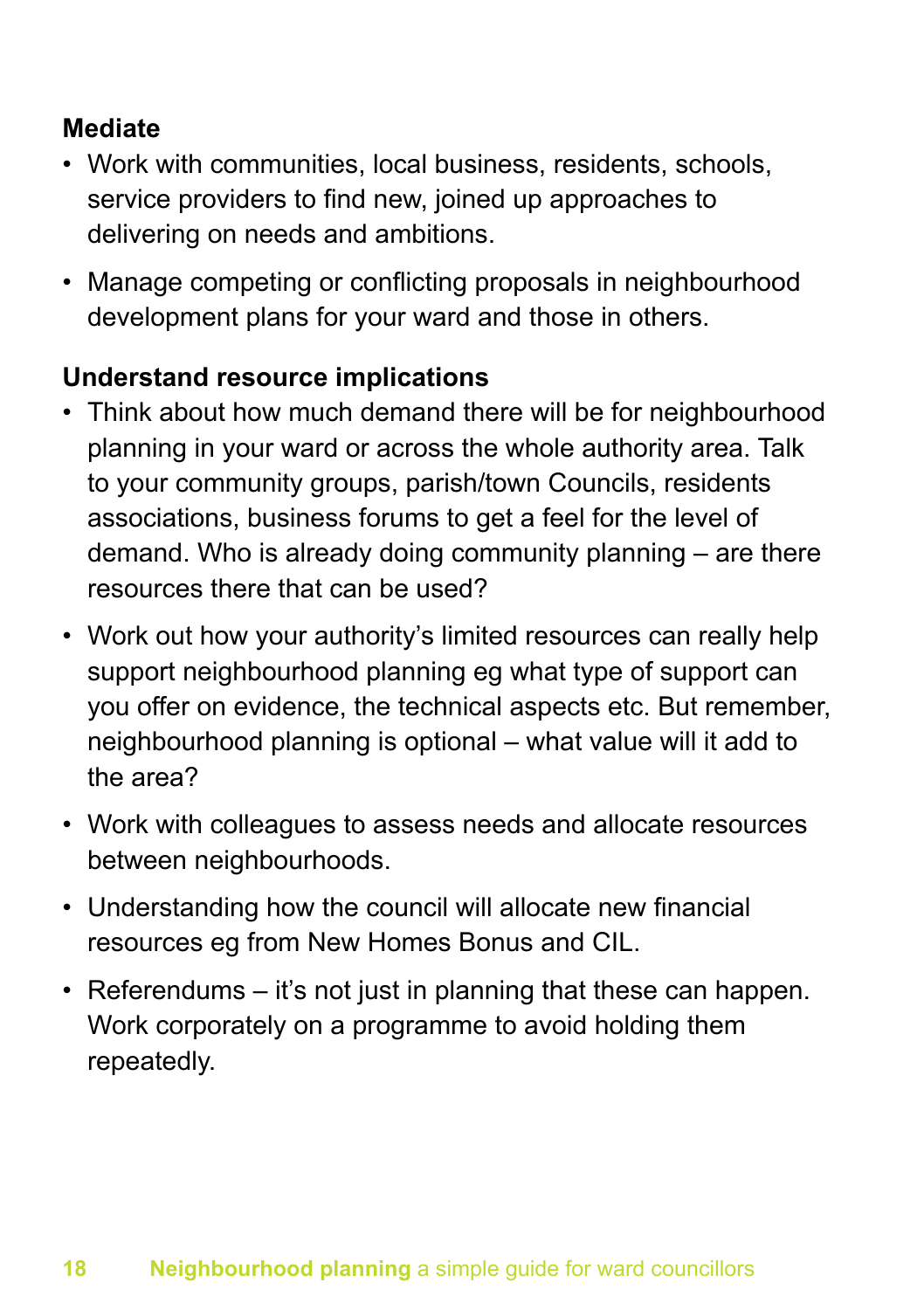### **Mediate**

- Work with communities, local business, residents, schools, service providers to find new, joined up approaches to delivering on needs and ambitions.
- Manage competing or conflicting proposals in neighbourhood development plans for your ward and those in others.

### **Understand resource implications**

- Think about how much demand there will be for neighbourhood planning in your ward or across the whole authority area. Talk to your community groups, parish/town Councils, residents associations, business forums to get a feel for the level of demand. Who is already doing community planning – are there resources there that can be used?
- Work out how your authority's limited resources can really help support neighbourhood planning eg what type of support can you offer on evidence, the technical aspects etc. But remember, neighbourhood planning is optional – what value will it add to the area?
- Work with colleagues to assess needs and allocate resources between neighbourhoods.
- Understanding how the council will allocate new financial resources eg from New Homes Bonus and CIL.
- Referendums it's not just in planning that these can happen. Work corporately on a programme to avoid holding them repeatedly.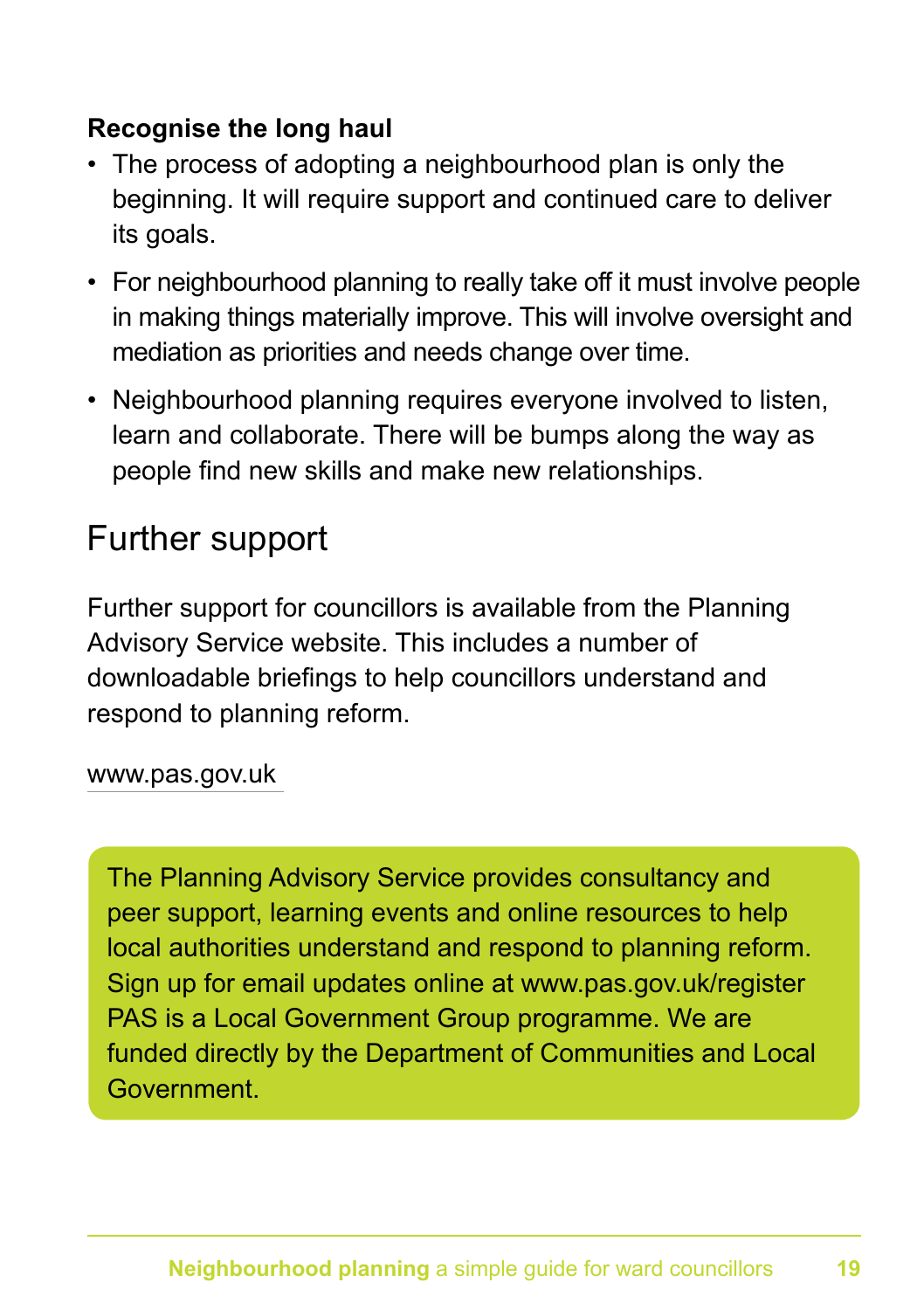### **Recognise the long haul**

- The process of adopting a neighbourhood plan is only the beginning. It will require support and continued care to deliver its goals.
- For neighbourhood planning to really take off it must involve people in making things materially improve. This will involve oversight and mediation as priorities and needs change over time.
- Neighbourhood planning requires everyone involved to listen, learn and collaborate. There will be bumps along the way as people find new skills and make new relationships.

### Further support

Further support for councillors is available from the Planning Advisory Service website. This includes a number of downloadable briefings to help councillors understand and respond to planning reform.

#### www.pas.gov.uk

The Planning Advisory Service provides consultancy and peer support, learning events and online resources to help local authorities understand and respond to planning reform. Sign up for email updates online at www.pas.gov.uk/register PAS is a Local Government Group programme. We are funded directly by the Department of Communities and Local **Government**